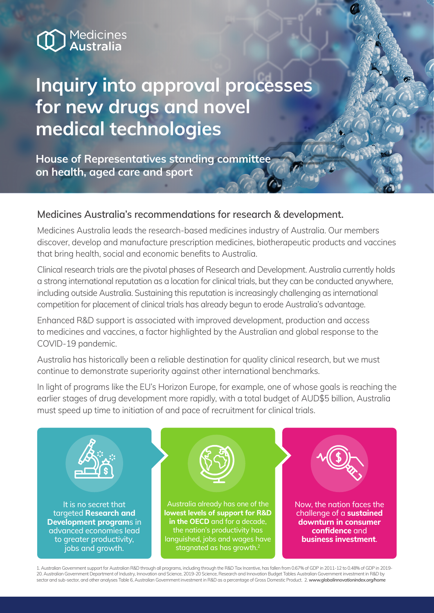## Medicines<br>Australia

## **Inquiry into approval processes for new drugs and novel medical technologies**

**House of Representatives standing committee on health, aged care and sport** 

## **Medicines Australia's recommendations for research & development.**

Medicines Australia leads the research-based medicines industry of Australia. Our members discover, develop and manufacture prescription medicines, biotherapeutic products and vaccines that bring health, social and economic benefits to Australia.

Clinical research trials are the pivotal phases of Research and Development. Australia currently holds a strong international reputation as a location for clinical trials, but they can be conducted anywhere, including outside Australia. Sustaining this reputation is increasingly challenging as international competition for placement of clinical trials has already begun to erode Australia's advantage.

Enhanced R&D support is associated with improved development, production and access to medicines and vaccines, a factor highlighted by the Australian and global response to the COVID-19 pandemic.

Australia has historically been a reliable destination for quality clinical research, but we must continue to demonstrate superiority against other international benchmarks.

In light of programs like the EU's Horizon Europe, for example, one of whose goals is reaching the earlier stages of drug development more rapidly, with a total budget of AUD\$5 billion, Australia must speed up time to initiation of and pace of recruitment for clinical trials.



1. Australian Government support for Australian R&D through all programs, including through the R&D Tax Incentive, has fallen from 0.67% of GDP in 2011-12 to 0.48% of GDP in 2019- 20. Australian Government Department of Industry, Innovation and Science, 2019-20 Science, Research and Innovation Budget Tables Australian Government investment in R&D by sector and sub-sector, and other analyses Table 6, Australian Government investment in R&D as a percentage of Gross Domestic Product. 2. *www.globalinnovationindex.org/home*